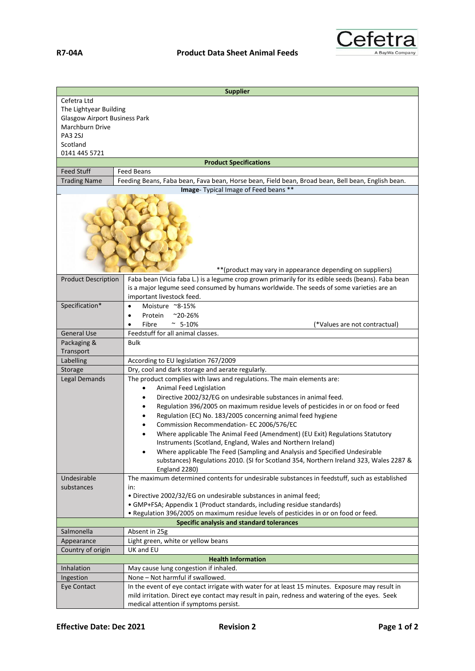

| Cefetra Ltd<br>The Lightyear Building<br><b>Glasgow Airport Business Park</b><br>Marchburn Drive<br><b>PA3 2SJ</b><br>Scotland<br>0141 445 5721<br><b>Product Specifications</b><br><b>Feed Stuff</b><br><b>Feed Beans</b><br>Feeding Beans, Faba bean, Fava bean, Horse bean, Field bean, Broad bean, Bell bean, English bean.<br><b>Trading Name</b><br>Image- Typical Image of Feed beans **<br>** (product may vary in appearance depending on suppliers)<br>Faba bean (Vicia faba L.) is a legume crop grown primarily for its edible seeds (beans). Faba bean<br><b>Product Description</b><br>is a major legume seed consumed by humans worldwide. The seeds of some varieties are an<br>important livestock feed.<br>Specification*<br>Moisture ~8-15%<br>$\bullet$<br>Protein<br>$^{\sim}$ 20-26%<br>$\bullet$<br>Fibre<br>~ $5-10%$<br>(*Values are not contractual)<br>٠<br><b>General Use</b><br>Feedstuff for all animal classes.<br>Packaging &<br><b>Bulk</b><br>Transport<br>According to EU legislation 767/2009<br>Labelling<br>Storage<br>Dry, cool and dark storage and aerate regularly.<br>Legal Demands<br>The product complies with laws and regulations. The main elements are:<br>Animal Feed Legislation<br>$\bullet$<br>Directive 2002/32/EG on undesirable substances in animal feed.<br>$\bullet$<br>Regulation 396/2005 on maximum residue levels of pesticides in or on food or feed<br>٠ |
|---------------------------------------------------------------------------------------------------------------------------------------------------------------------------------------------------------------------------------------------------------------------------------------------------------------------------------------------------------------------------------------------------------------------------------------------------------------------------------------------------------------------------------------------------------------------------------------------------------------------------------------------------------------------------------------------------------------------------------------------------------------------------------------------------------------------------------------------------------------------------------------------------------------------------------------------------------------------------------------------------------------------------------------------------------------------------------------------------------------------------------------------------------------------------------------------------------------------------------------------------------------------------------------------------------------------------------------------------------------------------------------------------------------------------|
|                                                                                                                                                                                                                                                                                                                                                                                                                                                                                                                                                                                                                                                                                                                                                                                                                                                                                                                                                                                                                                                                                                                                                                                                                                                                                                                                                                                                                           |
|                                                                                                                                                                                                                                                                                                                                                                                                                                                                                                                                                                                                                                                                                                                                                                                                                                                                                                                                                                                                                                                                                                                                                                                                                                                                                                                                                                                                                           |
|                                                                                                                                                                                                                                                                                                                                                                                                                                                                                                                                                                                                                                                                                                                                                                                                                                                                                                                                                                                                                                                                                                                                                                                                                                                                                                                                                                                                                           |
|                                                                                                                                                                                                                                                                                                                                                                                                                                                                                                                                                                                                                                                                                                                                                                                                                                                                                                                                                                                                                                                                                                                                                                                                                                                                                                                                                                                                                           |
|                                                                                                                                                                                                                                                                                                                                                                                                                                                                                                                                                                                                                                                                                                                                                                                                                                                                                                                                                                                                                                                                                                                                                                                                                                                                                                                                                                                                                           |
|                                                                                                                                                                                                                                                                                                                                                                                                                                                                                                                                                                                                                                                                                                                                                                                                                                                                                                                                                                                                                                                                                                                                                                                                                                                                                                                                                                                                                           |
|                                                                                                                                                                                                                                                                                                                                                                                                                                                                                                                                                                                                                                                                                                                                                                                                                                                                                                                                                                                                                                                                                                                                                                                                                                                                                                                                                                                                                           |
|                                                                                                                                                                                                                                                                                                                                                                                                                                                                                                                                                                                                                                                                                                                                                                                                                                                                                                                                                                                                                                                                                                                                                                                                                                                                                                                                                                                                                           |
|                                                                                                                                                                                                                                                                                                                                                                                                                                                                                                                                                                                                                                                                                                                                                                                                                                                                                                                                                                                                                                                                                                                                                                                                                                                                                                                                                                                                                           |
|                                                                                                                                                                                                                                                                                                                                                                                                                                                                                                                                                                                                                                                                                                                                                                                                                                                                                                                                                                                                                                                                                                                                                                                                                                                                                                                                                                                                                           |
|                                                                                                                                                                                                                                                                                                                                                                                                                                                                                                                                                                                                                                                                                                                                                                                                                                                                                                                                                                                                                                                                                                                                                                                                                                                                                                                                                                                                                           |
|                                                                                                                                                                                                                                                                                                                                                                                                                                                                                                                                                                                                                                                                                                                                                                                                                                                                                                                                                                                                                                                                                                                                                                                                                                                                                                                                                                                                                           |
|                                                                                                                                                                                                                                                                                                                                                                                                                                                                                                                                                                                                                                                                                                                                                                                                                                                                                                                                                                                                                                                                                                                                                                                                                                                                                                                                                                                                                           |
|                                                                                                                                                                                                                                                                                                                                                                                                                                                                                                                                                                                                                                                                                                                                                                                                                                                                                                                                                                                                                                                                                                                                                                                                                                                                                                                                                                                                                           |
|                                                                                                                                                                                                                                                                                                                                                                                                                                                                                                                                                                                                                                                                                                                                                                                                                                                                                                                                                                                                                                                                                                                                                                                                                                                                                                                                                                                                                           |
|                                                                                                                                                                                                                                                                                                                                                                                                                                                                                                                                                                                                                                                                                                                                                                                                                                                                                                                                                                                                                                                                                                                                                                                                                                                                                                                                                                                                                           |
|                                                                                                                                                                                                                                                                                                                                                                                                                                                                                                                                                                                                                                                                                                                                                                                                                                                                                                                                                                                                                                                                                                                                                                                                                                                                                                                                                                                                                           |
|                                                                                                                                                                                                                                                                                                                                                                                                                                                                                                                                                                                                                                                                                                                                                                                                                                                                                                                                                                                                                                                                                                                                                                                                                                                                                                                                                                                                                           |
|                                                                                                                                                                                                                                                                                                                                                                                                                                                                                                                                                                                                                                                                                                                                                                                                                                                                                                                                                                                                                                                                                                                                                                                                                                                                                                                                                                                                                           |
|                                                                                                                                                                                                                                                                                                                                                                                                                                                                                                                                                                                                                                                                                                                                                                                                                                                                                                                                                                                                                                                                                                                                                                                                                                                                                                                                                                                                                           |
|                                                                                                                                                                                                                                                                                                                                                                                                                                                                                                                                                                                                                                                                                                                                                                                                                                                                                                                                                                                                                                                                                                                                                                                                                                                                                                                                                                                                                           |
|                                                                                                                                                                                                                                                                                                                                                                                                                                                                                                                                                                                                                                                                                                                                                                                                                                                                                                                                                                                                                                                                                                                                                                                                                                                                                                                                                                                                                           |
|                                                                                                                                                                                                                                                                                                                                                                                                                                                                                                                                                                                                                                                                                                                                                                                                                                                                                                                                                                                                                                                                                                                                                                                                                                                                                                                                                                                                                           |
|                                                                                                                                                                                                                                                                                                                                                                                                                                                                                                                                                                                                                                                                                                                                                                                                                                                                                                                                                                                                                                                                                                                                                                                                                                                                                                                                                                                                                           |
|                                                                                                                                                                                                                                                                                                                                                                                                                                                                                                                                                                                                                                                                                                                                                                                                                                                                                                                                                                                                                                                                                                                                                                                                                                                                                                                                                                                                                           |
|                                                                                                                                                                                                                                                                                                                                                                                                                                                                                                                                                                                                                                                                                                                                                                                                                                                                                                                                                                                                                                                                                                                                                                                                                                                                                                                                                                                                                           |
|                                                                                                                                                                                                                                                                                                                                                                                                                                                                                                                                                                                                                                                                                                                                                                                                                                                                                                                                                                                                                                                                                                                                                                                                                                                                                                                                                                                                                           |
| Regulation (EC) No. 183/2005 concerning animal feed hygiene                                                                                                                                                                                                                                                                                                                                                                                                                                                                                                                                                                                                                                                                                                                                                                                                                                                                                                                                                                                                                                                                                                                                                                                                                                                                                                                                                               |
| Commission Recommendation- EC 2006/576/EC                                                                                                                                                                                                                                                                                                                                                                                                                                                                                                                                                                                                                                                                                                                                                                                                                                                                                                                                                                                                                                                                                                                                                                                                                                                                                                                                                                                 |
| Where applicable The Animal Feed (Amendment) (EU Exit) Regulations Statutory                                                                                                                                                                                                                                                                                                                                                                                                                                                                                                                                                                                                                                                                                                                                                                                                                                                                                                                                                                                                                                                                                                                                                                                                                                                                                                                                              |
| Instruments (Scotland, England, Wales and Northern Ireland)                                                                                                                                                                                                                                                                                                                                                                                                                                                                                                                                                                                                                                                                                                                                                                                                                                                                                                                                                                                                                                                                                                                                                                                                                                                                                                                                                               |
| Where applicable The Feed (Sampling and Analysis and Specified Undesirable                                                                                                                                                                                                                                                                                                                                                                                                                                                                                                                                                                                                                                                                                                                                                                                                                                                                                                                                                                                                                                                                                                                                                                                                                                                                                                                                                |
| substances) Regulations 2010. (SI for Scotland 354, Northern Ireland 323, Wales 2287 &                                                                                                                                                                                                                                                                                                                                                                                                                                                                                                                                                                                                                                                                                                                                                                                                                                                                                                                                                                                                                                                                                                                                                                                                                                                                                                                                    |
| England 2280)                                                                                                                                                                                                                                                                                                                                                                                                                                                                                                                                                                                                                                                                                                                                                                                                                                                                                                                                                                                                                                                                                                                                                                                                                                                                                                                                                                                                             |
| The maximum determined contents for undesirable substances in feedstuff, such as established<br>Undesirable                                                                                                                                                                                                                                                                                                                                                                                                                                                                                                                                                                                                                                                                                                                                                                                                                                                                                                                                                                                                                                                                                                                                                                                                                                                                                                               |
| substances<br>in:                                                                                                                                                                                                                                                                                                                                                                                                                                                                                                                                                                                                                                                                                                                                                                                                                                                                                                                                                                                                                                                                                                                                                                                                                                                                                                                                                                                                         |
| . Directive 2002/32/EG on undesirable substances in animal feed;                                                                                                                                                                                                                                                                                                                                                                                                                                                                                                                                                                                                                                                                                                                                                                                                                                                                                                                                                                                                                                                                                                                                                                                                                                                                                                                                                          |
| • GMP+FSA; Appendix 1 (Product standards, including residue standards)                                                                                                                                                                                                                                                                                                                                                                                                                                                                                                                                                                                                                                                                                                                                                                                                                                                                                                                                                                                                                                                                                                                                                                                                                                                                                                                                                    |
| . Regulation 396/2005 on maximum residue levels of pesticides in or on food or feed.                                                                                                                                                                                                                                                                                                                                                                                                                                                                                                                                                                                                                                                                                                                                                                                                                                                                                                                                                                                                                                                                                                                                                                                                                                                                                                                                      |
| Specific analysis and standard tolerances                                                                                                                                                                                                                                                                                                                                                                                                                                                                                                                                                                                                                                                                                                                                                                                                                                                                                                                                                                                                                                                                                                                                                                                                                                                                                                                                                                                 |
| Salmonella<br>Absent in 25g                                                                                                                                                                                                                                                                                                                                                                                                                                                                                                                                                                                                                                                                                                                                                                                                                                                                                                                                                                                                                                                                                                                                                                                                                                                                                                                                                                                               |
| Light green, white or yellow beans<br>Appearance                                                                                                                                                                                                                                                                                                                                                                                                                                                                                                                                                                                                                                                                                                                                                                                                                                                                                                                                                                                                                                                                                                                                                                                                                                                                                                                                                                          |
| UK and EU<br>Country of origin                                                                                                                                                                                                                                                                                                                                                                                                                                                                                                                                                                                                                                                                                                                                                                                                                                                                                                                                                                                                                                                                                                                                                                                                                                                                                                                                                                                            |
| <b>Health Information</b>                                                                                                                                                                                                                                                                                                                                                                                                                                                                                                                                                                                                                                                                                                                                                                                                                                                                                                                                                                                                                                                                                                                                                                                                                                                                                                                                                                                                 |
| Inhalation<br>May cause lung congestion if inhaled.                                                                                                                                                                                                                                                                                                                                                                                                                                                                                                                                                                                                                                                                                                                                                                                                                                                                                                                                                                                                                                                                                                                                                                                                                                                                                                                                                                       |
| None - Not harmful if swallowed.<br>Ingestion                                                                                                                                                                                                                                                                                                                                                                                                                                                                                                                                                                                                                                                                                                                                                                                                                                                                                                                                                                                                                                                                                                                                                                                                                                                                                                                                                                             |
| In the event of eye contact irrigate with water for at least 15 minutes. Exposure may result in<br>Eye Contact                                                                                                                                                                                                                                                                                                                                                                                                                                                                                                                                                                                                                                                                                                                                                                                                                                                                                                                                                                                                                                                                                                                                                                                                                                                                                                            |
| mild irritation. Direct eye contact may result in pain, redness and watering of the eyes. Seek                                                                                                                                                                                                                                                                                                                                                                                                                                                                                                                                                                                                                                                                                                                                                                                                                                                                                                                                                                                                                                                                                                                                                                                                                                                                                                                            |
| medical attention if symptoms persist.                                                                                                                                                                                                                                                                                                                                                                                                                                                                                                                                                                                                                                                                                                                                                                                                                                                                                                                                                                                                                                                                                                                                                                                                                                                                                                                                                                                    |